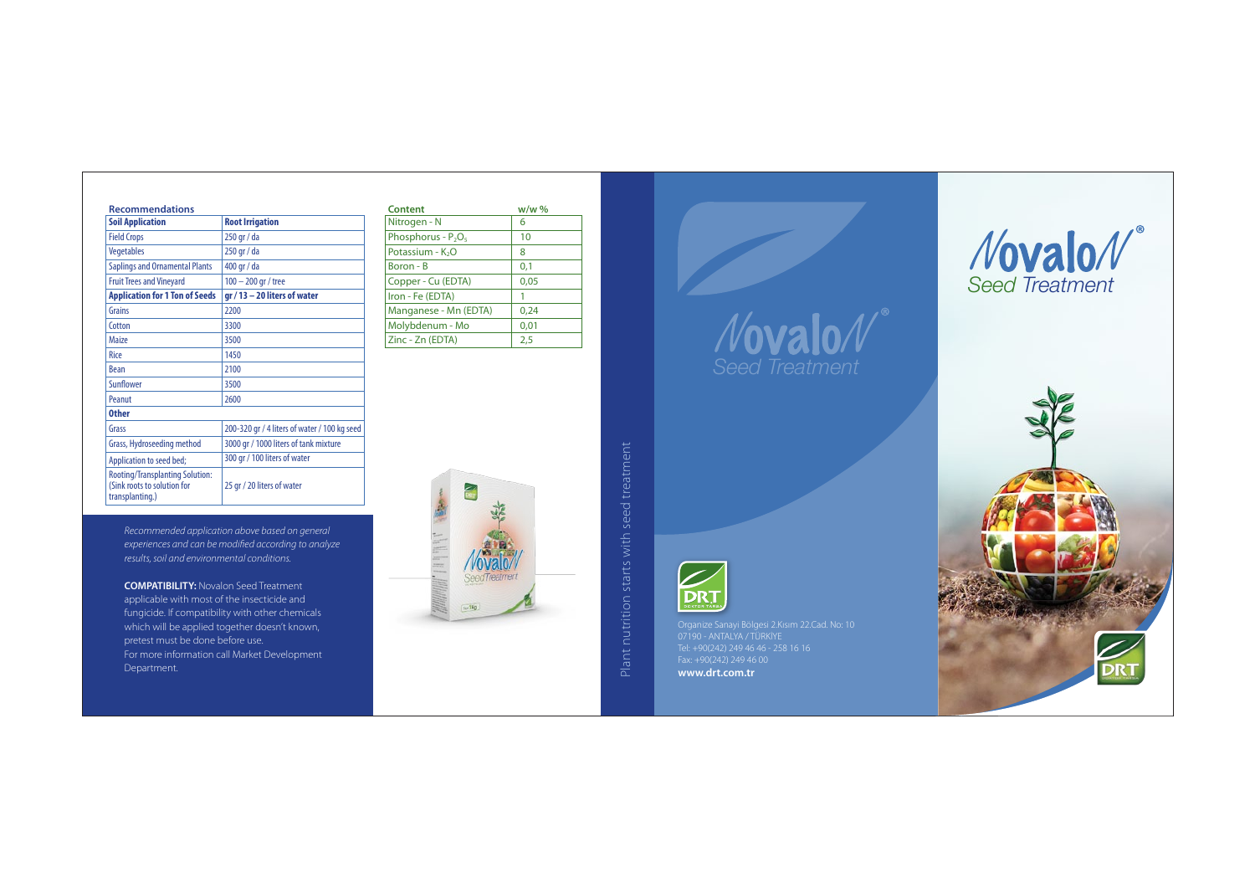*Recommended application above based on general experiences and can be modied according to analyze results, soil and environmental conditions.*

Plant nutrition starts with seed treatment Plant nutrition starts with seed treatment

**COMPATIBILITY:** Novalon Seed Treatment applicable with most of the insecticide and fungicide. If compatibility with other chemicals which will be applied together doesn't known, pretest must be done before use. For more information call Market Development Department.



*Seed Treatment*



| Content               | $w/w$ % |
|-----------------------|---------|
| Nitrogen - N          | 6       |
| Phosphorus - $P_2O_5$ | 10      |
| Potassium - $K2O$     | 8       |
| Boron - B             | 0,1     |
| Copper - Cu (EDTA)    | 0,05    |
| Iron - Fe (EDTA)      |         |
| Manganese - Mn (EDTA) | 0,24    |
| Molybdenum - Mo       | 0,01    |
| Zinc - Zn (EDTA)      | 2,5     |



| <b>Recommendations</b>                                                                   |                                              | <b>Content</b>                             | $w/w$ % |
|------------------------------------------------------------------------------------------|----------------------------------------------|--------------------------------------------|---------|
| <b>Soil Application</b>                                                                  | <b>Root Irrigation</b>                       | Nitrogen - N                               | 6       |
| <b>Field Crops</b>                                                                       | 250 gr / da                                  | Phosphorus - P <sub>2</sub> O <sub>5</sub> | 10      |
| Vegetables                                                                               | 250 gr / da                                  | Potassium - K <sub>2</sub> O               | 8       |
| <b>Saplings and Ornamental Plants</b>                                                    | 400 gr / da                                  | Boron - B                                  | 0,1     |
| <b>Fruit Trees and Vineyard</b>                                                          | $100 - 200$ gr / tree                        | Copper - Cu (EDTA)                         | 0,05    |
| <b>Application for 1 Ton of Seeds</b>                                                    | $gr/13 - 20$ liters of water                 | Iron - Fe (EDTA)                           | 1       |
| Grains                                                                                   | 2200                                         | Manganese - Mn (EDTA)                      | 0,24    |
| Cotton                                                                                   | 3300                                         | Molybdenum - Mo                            | 0,01    |
| Maize                                                                                    | 3500                                         | Zinc - Zn (EDTA)                           | 2,5     |
| Rice                                                                                     | 1450                                         |                                            |         |
| <b>Bean</b>                                                                              | 2100                                         |                                            |         |
| Sunflower                                                                                | 3500                                         |                                            |         |
| Peanut                                                                                   | 2600                                         |                                            |         |
| <b>Other</b>                                                                             |                                              |                                            |         |
| Grass                                                                                    | 200-320 gr / 4 liters of water / 100 kg seed |                                            |         |
| Grass, Hydroseeding method                                                               | 3000 gr / 1000 liters of tank mixture        |                                            |         |
| Application to seed bed;                                                                 | 300 gr / 100 liters of water                 |                                            |         |
| <b>Rooting/Transplanting Solution:</b><br>(Sink roots to solution for<br>transplanting.) | 25 gr / 20 liters of water                   |                                            |         |

Organize Sanayi Bölgesi 2.Kısım 22.Cad. No: 10 07190 - ANTALYA / TÜRKİYE Tel: +90(242) 249 46 46 - 258 16 16 Fax: +90(242) 249 46 00 **www.drt.com.tr**